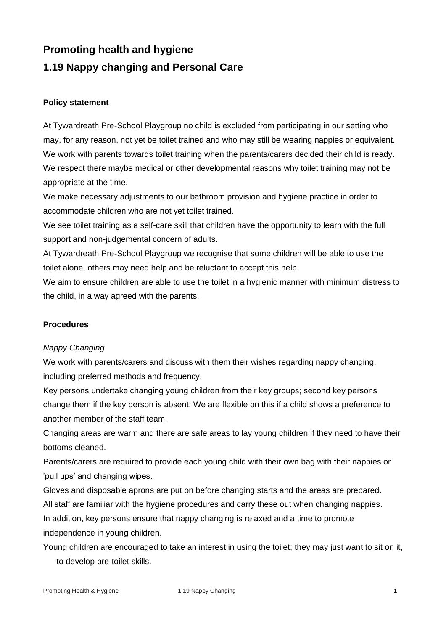# **Promoting health and hygiene 1.19 Nappy changing and Personal Care**

### **Policy statement**

At Tywardreath Pre-School Playgroup no child is excluded from participating in our setting who may, for any reason, not yet be toilet trained and who may still be wearing nappies or equivalent. We work with parents towards toilet training when the parents/carers decided their child is ready. We respect there maybe medical or other developmental reasons why toilet training may not be appropriate at the time.

We make necessary adjustments to our bathroom provision and hygiene practice in order to accommodate children who are not yet toilet trained.

We see toilet training as a self-care skill that children have the opportunity to learn with the full support and non-judgemental concern of adults.

At Tywardreath Pre-School Playgroup we recognise that some children will be able to use the toilet alone, others may need help and be reluctant to accept this help.

We aim to ensure children are able to use the toilet in a hygienic manner with minimum distress to the child, in a way agreed with the parents.

## **Procedures**

#### *Nappy Changing*

We work with parents/carers and discuss with them their wishes regarding nappy changing, including preferred methods and frequency.

Key persons undertake changing young children from their key groups; second key persons change them if the key person is absent. We are flexible on this if a child shows a preference to another member of the staff team.

Changing areas are warm and there are safe areas to lay young children if they need to have their bottoms cleaned.

Parents/carers are required to provide each young child with their own bag with their nappies or 'pull ups' and changing wipes.

Gloves and disposable aprons are put on before changing starts and the areas are prepared. All staff are familiar with the hygiene procedures and carry these out when changing nappies. In addition, key persons ensure that nappy changing is relaxed and a time to promote independence in young children.

Young children are encouraged to take an interest in using the toilet; they may just want to sit on it, to develop pre-toilet skills.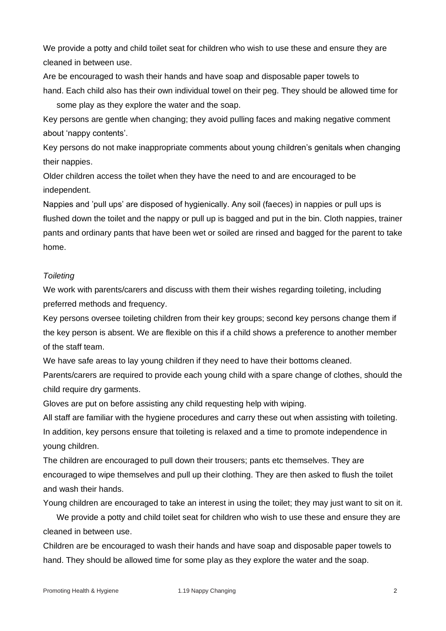We provide a potty and child toilet seat for children who wish to use these and ensure they are cleaned in between use.

Are be encouraged to wash their hands and have soap and disposable paper towels to hand. Each child also has their own individual towel on their peg. They should be allowed time for some play as they explore the water and the soap.

Key persons are gentle when changing; they avoid pulling faces and making negative comment about 'nappy contents'.

Key persons do not make inappropriate comments about young children's genitals when changing their nappies.

Older children access the toilet when they have the need to and are encouraged to be independent.

Nappies and 'pull ups' are disposed of hygienically. Any soil (faeces) in nappies or pull ups is flushed down the toilet and the nappy or pull up is bagged and put in the bin. Cloth nappies, trainer pants and ordinary pants that have been wet or soiled are rinsed and bagged for the parent to take home.

#### *Toileting*

We work with parents/carers and discuss with them their wishes regarding toileting, including preferred methods and frequency.

Key persons oversee toileting children from their key groups; second key persons change them if the key person is absent. We are flexible on this if a child shows a preference to another member of the staff team.

We have safe areas to lay young children if they need to have their bottoms cleaned.

Parents/carers are required to provide each young child with a spare change of clothes, should the child require dry garments.

Gloves are put on before assisting any child requesting help with wiping.

All staff are familiar with the hygiene procedures and carry these out when assisting with toileting. In addition, key persons ensure that toileting is relaxed and a time to promote independence in young children.

The children are encouraged to pull down their trousers; pants etc themselves. They are encouraged to wipe themselves and pull up their clothing. They are then asked to flush the toilet and wash their hands.

Young children are encouraged to take an interest in using the toilet; they may just want to sit on it.

We provide a potty and child toilet seat for children who wish to use these and ensure they are cleaned in between use.

Children are be encouraged to wash their hands and have soap and disposable paper towels to hand. They should be allowed time for some play as they explore the water and the soap.